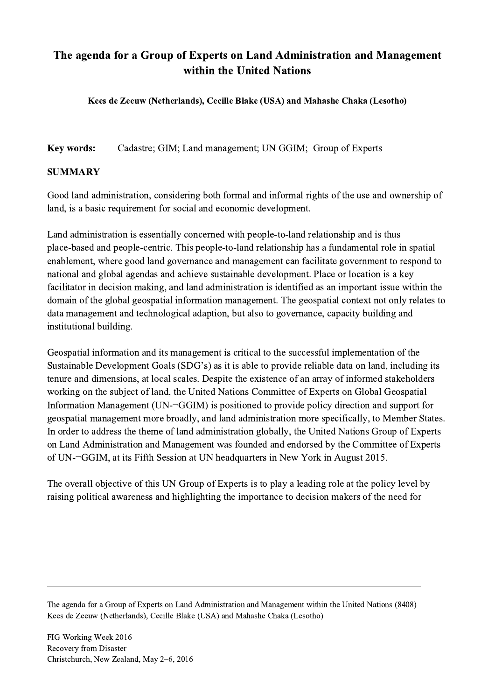## The agenda for a Group of Experts on Land Administration and Management within the United Nations

Kees de Zeeuw (Netherlands), Cecille Blake (USA) and Mahashe Chaka (Lesotho)

Key words: Cadastre; GIM; Land management; UN GGIM; Group of Experts

## SUMMARY

Good land administration, considering both formal and informal rights of the use and ownership of land, is a basic requirement for social and economic development.

Land administration is essentially concerned with people-to-land relationship and is thus place-based and people-centric. This people-to-land relationship has a fundamental role in spatial enablement, where good land governance and management can facilitate government to respond to national and global agendas and achieve sustainable development. Place or location is a key facilitator in decision making, and land administration is identified as an important issue within the domain of the global geospatial information management. The geospatial context not only relates to data management and technological adaption, but also to governance, capacity building and institutional building.

Geospatial information and its management is critical to the successful implementation of the Sustainable Development Goals (SDG's) as it is able to provide reliable data on land, including its tenure and dimensions, at local scales. Despite the existence of an array of informed stakeholders working on the subject of land, the United Nations Committee of Experts on Global Geospatial Information Management (UN-¬GGIM) is positioned to provide policy direction and support for geospatial management more broadly, and land administration more specifically, to Member States. In order to address the theme of land administration globally, the United Nations Group of Experts on Land Administration and Management was founded and endorsed by the Committee of Experts of UN-¬GGIM, at its Fifth Session at UN headquarters in New York in August 2015.

The overall objective of this UN Group of Experts is to play a leading role at the policy level by raising political awareness and highlighting the importance to decision makers of the need for

 $\mathcal{L}_\mathcal{L} = \{ \mathcal{L}_\mathcal{L} = \{ \mathcal{L}_\mathcal{L} = \{ \mathcal{L}_\mathcal{L} = \{ \mathcal{L}_\mathcal{L} = \{ \mathcal{L}_\mathcal{L} = \{ \mathcal{L}_\mathcal{L} = \{ \mathcal{L}_\mathcal{L} = \{ \mathcal{L}_\mathcal{L} = \{ \mathcal{L}_\mathcal{L} = \{ \mathcal{L}_\mathcal{L} = \{ \mathcal{L}_\mathcal{L} = \{ \mathcal{L}_\mathcal{L} = \{ \mathcal{L}_\mathcal{L} = \{ \mathcal{L}_\mathcal{$ 

The agenda for a Group of Experts on Land Administration and Management within the United Nations (8408) Kees de Zeeuw (Netherlands), Cecille Blake (USA) and Mahashe Chaka (Lesotho)